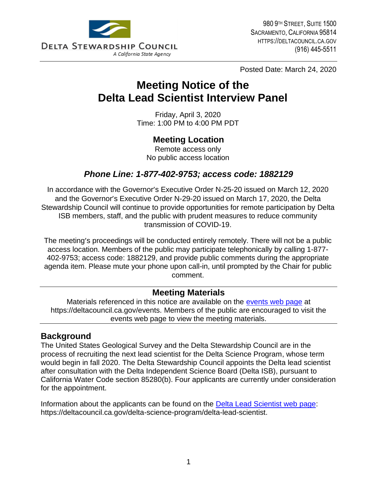

Posted Date: March 24, 2020

# **Meeting Notice of the Delta Lead Scientist Interview Panel**

Friday, April 3, 2020 Time: 1:00 PM to 4:00 PM PDT

# **Meeting Location**

Remote access only No public access location

# *Phone Line: 1-877-402-9753; access code: 1882129*

In accordance with the Governor's Executive Order N-25-20 issued on March 12, 2020 and the Governor's Executive Order N-29-20 issued on March 17, 2020, the Delta Stewardship Council will continue to provide opportunities for remote participation by Delta ISB members, staff, and the public with prudent measures to reduce community transmission of COVID-19.

The meeting's proceedings will be conducted entirely remotely. There will not be a public access location. Members of the public may participate telephonically by calling 1-877- 402-9753; access code: 1882129, and provide public comments during the appropriate agenda item. Please mute your phone upon call-in, until prompted by the Chair for public comment.

#### **Meeting Materials**

Materials referenced in this notice are available on the [events web page](https://deltacouncil.ca.gov/events) at https://deltacouncil.ca.gov/events. Members of the public are encouraged to visit the events web page to view the meeting materials.

#### **Background**

The United States Geological Survey and the Delta Stewardship Council are in the process of recruiting the next lead scientist for the Delta Science Program, whose term would begin in fall 2020. The Delta Stewardship Council appoints the Delta lead scientist after consultation with the Delta Independent Science Board (Delta ISB), pursuant to California Water Code section 85280(b). Four applicants are currently under consideration for the appointment.

Information about the applicants can be found on the [Delta Lead Scientist web](https://deltacouncil.ca.gov/delta-science-program/delta-lead-scientist) page: https://deltacouncil.ca.gov/delta-science-program/delta-lead-scientist.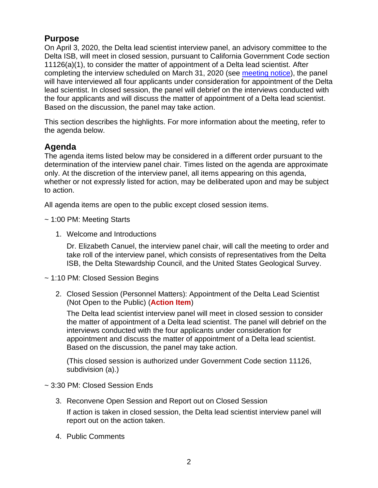# **Purpose**

On April 3, 2020, the Delta lead scientist interview panel, an advisory committee to the Delta ISB, will meet in closed session, pursuant to California Government Code section 11126(a)(1), to consider the matter of appointment of a Delta lead scientist. After completing the interview scheduled on March 31, 2020 (see [meeting notice\)](https://deltacouncil.ca.gov/pdf/isb/meeting-notice/2020-03-20-delta-lead-scientist-interview-panel-meeting-notice.pdf), the panel will have interviewed all four applicants under consideration for appointment of the Delta lead scientist. In closed session, the panel will debrief on the interviews conducted with the four applicants and will discuss the matter of appointment of a Delta lead scientist. Based on the discussion, the panel may take action.

This section describes the highlights. For more information about the meeting, refer to the agenda below.

### **Agenda**

The agenda items listed below may be considered in a different order pursuant to the determination of the interview panel chair. Times listed on the agenda are approximate only. At the discretion of the interview panel, all items appearing on this agenda, whether or not expressly listed for action, may be deliberated upon and may be subject to action.

All agenda items are open to the public except closed session items.

- ~ 1:00 PM: Meeting Starts
	- 1. Welcome and Introductions

Dr. Elizabeth Canuel, the interview panel chair, will call the meeting to order and take roll of the interview panel, which consists of representatives from the Delta ISB, the Delta Stewardship Council, and the United States Geological Survey.

~ 1:10 PM: Closed Session Begins

2. Closed Session (Personnel Matters): Appointment of the Delta Lead Scientist (Not Open to the Public) (**Action Item**)

The Delta lead scientist interview panel will meet in closed session to consider the matter of appointment of a Delta lead scientist. The panel will debrief on the interviews conducted with the four applicants under consideration for appointment and discuss the matter of appointment of a Delta lead scientist. Based on the discussion, the panel may take action.

(This closed session is authorized under Government Code section 11126, subdivision (a).)

#### ~ 3:30 PM: Closed Session Ends

- 3. Reconvene Open Session and Report out on Closed Session If action is taken in closed session, the Delta lead scientist interview panel will report out on the action taken.
- 4. Public Comments